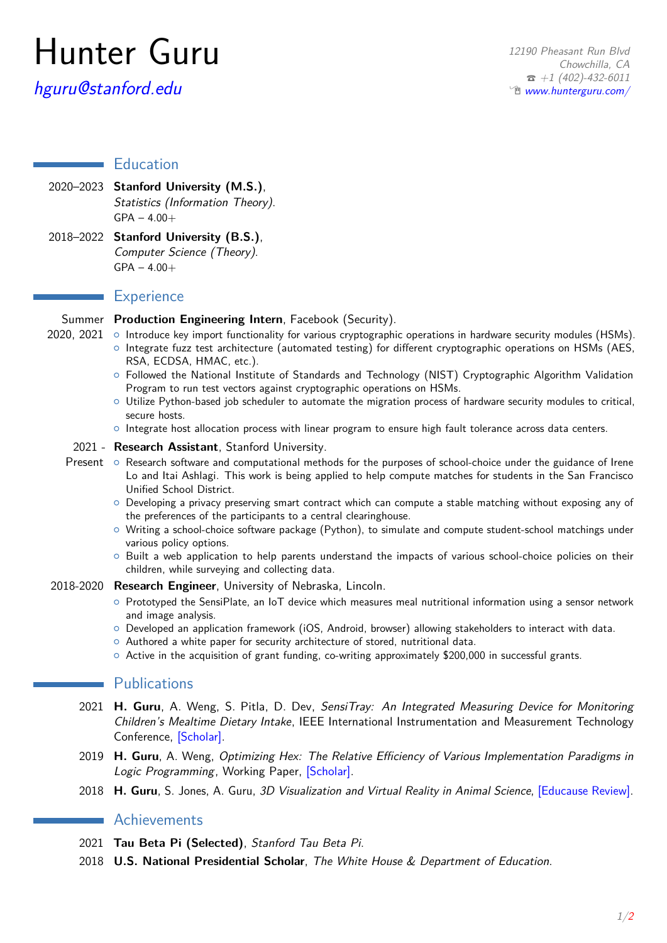# Hunter Guru

# [hguru@stanford.edu](mailto:hguru@stanford.edu)

# **Education**

- 2020–2023 **Stanford University (M.S.)**, Statistics (Information Theory).  $GPA - 4.00 +$
- 2018–2022 **Stanford University (B.S.)**, Computer Science (Theory).  $GPA - 4.00+$

## **Experience**

### Summer **Production Engineering Intern**, Facebook (Security).

- 2020, 2021 ⊙ Introduce key import functionality for various cryptographic operations in hardware security modules (HSMs).
	- { Integrate fuzz test architecture (automated testing) for different cryptographic operations on HSMs (AES, RSA, ECDSA, HMAC, etc.).
	- { Followed the National Institute of Standards and Technology (NIST) Cryptographic Algorithm Validation Program to run test vectors against cryptographic operations on HSMs.
	- $\circ$  Utilize Python-based job scheduler to automate the migration process of hardware security modules to critical, secure hosts.
	- o Integrate host allocation process with linear program to ensure high fault tolerance across data centers.

#### 2021 - **Research Assistant**, Stanford University.

- Present o Research software and computational methods for the purposes of school-choice under the guidance of Irene Lo and Itai Ashlagi. This work is being applied to help compute matches for students in the San Francisco Unified School District.
	- { Developing a privacy preserving smart contract which can compute a stable matching without exposing any of the preferences of the participants to a central clearinghouse.
	- $\circ$  Writing a school-choice software package (Python), to simulate and compute student-school matchings under various policy options.
	- $\circ$  Built a web application to help parents understand the impacts of various school-choice policies on their children, while surveying and collecting data.

#### 2018-2020 **Research Engineer**, University of Nebraska, Lincoln.

- { Prototyped the SensiPlate, an IoT device which measures meal nutritional information using a sensor network and image analysis.
- $\circ$  Developed an application framework (iOS, Android, browser) allowing stakeholders to interact with data.
- $\circ$  Authored a white paper for security architecture of stored, nutritional data.
- $\circ$  Active in the acquisition of grant funding, co-writing approximately \$200,000 in successful grants.

## **Publications**

- 2021 **H. Guru**, A. Weng, S. Pitla, D. Dev, SensiTray: An Integrated Measuring Device for Monitoring Children's Mealtime Dietary Intake, IEEE International Instrumentation and Measurement Technology Conference, [\[Scholar\].](https://scholar.google.com/citations?view_op=view_citation&hl=en&user=Ue26gkEAAAAJ&citation_for_view=Ue26gkEAAAAJ:d1gkVwhDpl0C)
- 2019 **H. Guru**, A. Weng, Optimizing Hex: The Relative Efficiency of Various Implementation Paradigms in Logic Programming, Working Paper, [\[Scholar\].](https://scholar.google.com/citations?view_op=view_citation&hl=en&user=Ue26gkEAAAAJ&citation_for_view=Ue26gkEAAAAJ:u5HHmVD_uO8C)
- 2018 **H. Guru**, S. Jones, A. Guru, 3D Visualization and Virtual Reality in Animal Science, [\[Educause Review\].](https://er.educause.edu/articles/2017/10/3d-visualization-and-virtual-reality-in-animal-science)

# Achievements

- 2021 **Tau Beta Pi (Selected)**, Stanford Tau Beta Pi.
- 2018 **U.S. National Presidential Scholar**, The White House & Department of Education.